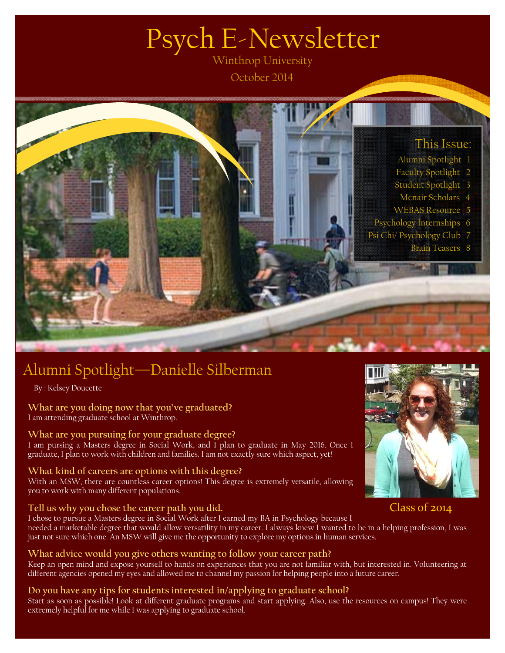# Psych E-Newsletter

October 2014



## Alumni Spotlight—Danielle Silberman

By : Kelsey Doucette

**What are you doing now that you've graduated?**  I am attending graduate school at Winthrop.

#### **What are you pursuing for your graduate degree?**

I am pursing a Masters degree in Social Work, and I plan to graduate in May 2016. Once I graduate, I plan to work with children and families. I am not exactly sure which aspect, yet!

#### **What kind of careers are options with this degree?**

With an MSW, there are countless career options! This degree is extremely versatile, allowing you to work with many different populations.

#### **Tell us why you chose the career path you did.**

I chose to pursue a Masters degree in Social Work after I earned my BA in Psychology because I needed a marketable degree that would allow versatility in my career. I always knew I wanted to be in a helping profession, I was just not sure which one. An MSW will give me the opportunity to explore my options in human services.

#### **What advice would you give others wanting to follow your career path?**

Keep an open mind and expose yourself to hands on experiences that you are not familiar with, but interested in. Volunteering at different agencies opened my eyes and allowed me to channel my passion for helping people into a future career.

#### **Do you have any tips for students interested in/applying to graduate school?**

Start as soon as possible! Look at different graduate programs and start applying. Also, use the resources on campus! They were extremely helpful for me while I was applying to graduate school.



#### Class of 2014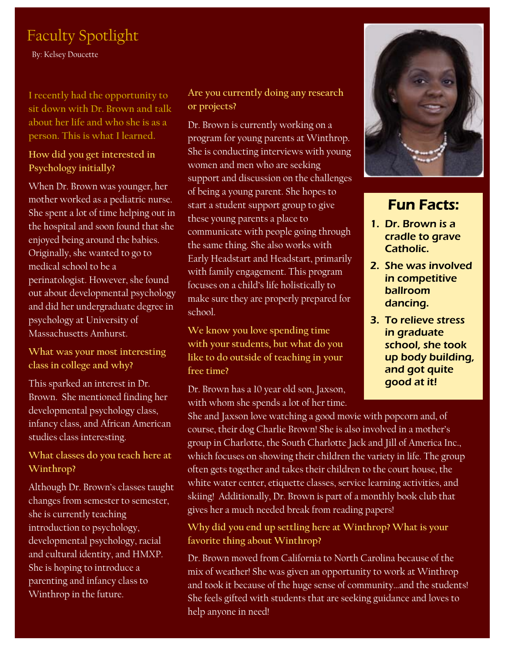### Faculty Spotlight

By: Kelsey Doucette

**I recently had the opportunity to sit down with Dr. Brown and talk about her life and who she is as a person. This is what I learned.** 

#### **How did you get interested in Psychology initially?**

When Dr. Brown was younger, her mother worked as a pediatric nurse. She spent a lot of time helping out in the hospital and soon found that she enjoyed being around the babies. Originally, she wanted to go to medical school to be a perinatologist. However, she found out about developmental psychology and did her undergraduate degree in psychology at University of Massachusetts Amhurst.

**What was your most interesting class in college and why?** 

This sparked an interest in Dr. Brown. She mentioned finding her developmental psychology class, infancy class, and African American studies class interesting.

#### **What classes do you teach here at Winthrop?**

Although Dr. Brown's classes taught changes from semester to semester, she is currently teaching introduction to psychology, developmental psychology, racial and cultural identity, and HMXP. She is hoping to introduce a parenting and infancy class to Winthrop in the future.

#### **Are you currently doing any research or projects?**

Dr. Brown is currently working on a program for young parents at Winthrop. She is conducting interviews with young women and men who are seeking support and discussion on the challenges of being a young parent. She hopes to start a student support group to give these young parents a place to communicate with people going through the same thing. She also works with Early Headstart and Headstart, primarily with family engagement. This program focuses on a child's life holistically to make sure they are properly prepared for school.

**We know you love spending time with your students, but what do you like to do outside of teaching in your free time?** 

Dr. Brown has a 10 year old son, Jaxson, with whom she spends a lot of her time.



#### Fun Facts:

- 1. Dr. Brown is a cradle to grave Catholic.
- 2. She was involved in competitive ballroom dancing.
- 3. To relieve stress in graduate school, she took up body building, and got quite good at it!

She and Jaxson love watching a good movie with popcorn and, of course, their dog Charlie Brown! She is also involved in a mother's group in Charlotte, the South Charlotte Jack and Jill of America Inc., which focuses on showing their children the variety in life. The group often gets together and takes their children to the court house, the white water center, etiquette classes, service learning activities, and skiing! Additionally, Dr. Brown is part of a monthly book club that gives her a much needed break from reading papers!

#### **Why did you end up settling here at Winthrop? What is your favorite thing about Winthrop?**

Dr. Brown moved from California to North Carolina because of the mix of weather! She was given an opportunity to work at Winthrop and took it because of the huge sense of community…and the students! She feels gifted with students that are seeking guidance and loves to help anyone in need!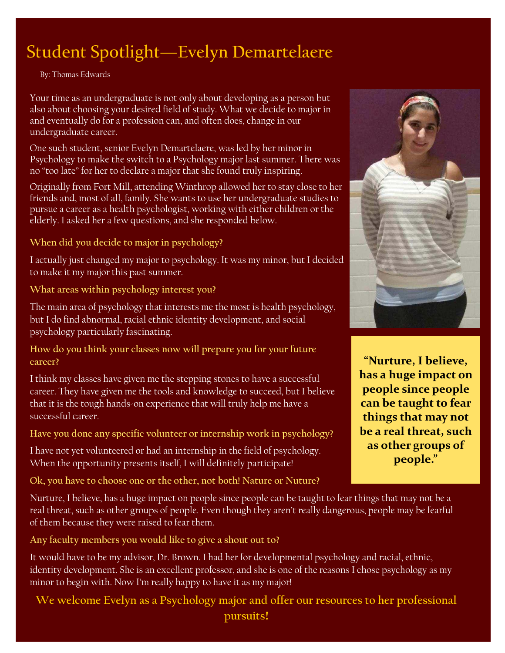## Student Spotlight—**Evelyn Demartelaere**

By: Thomas Edwards

Your time as an undergraduate is not only about developing as a person but also about choosing your desired field of study. What we decide to major in and eventually do for a profession can, and often does, change in our undergraduate career.

One such student, senior Evelyn Demartelaere, was led by her minor in Psychology to make the switch to a Psychology major last summer. There was no "too late" for her to declare a major that she found truly inspiring.

Originally from Fort Mill, attending Winthrop allowed her to stay close to her friends and, most of all, family. She wants to use her undergraduate studies to pursue a career as a health psychologist, working with either children or the elderly. I asked her a few questions, and she responded below.

**When did you decide to major in psychology?** 

I actually just changed my major to psychology. It was my minor, but I decided to make it my major this past summer.

**What areas within psychology interest you?** 

The main area of psychology that interests me the most is health psychology, but I do find abnormal, racial ethnic identity development, and social psychology particularly fascinating.

**How do you think your classes now will prepare you for your future career?** 

I think my classes have given me the stepping stones to have a successful career. They have given me the tools and knowledge to succeed, but I believe that it is the tough hands-on experience that will truly help me have a successful career.

**Have you done any specific volunteer or internship work in psychology?** 

I have not yet volunteered or had an internship in the field of psychology. When the opportunity presents itself, I will definitely participate!

**Ok, you have to choose one or the other, not both! Nature or Nuture?** 

Nurture, I believe, has a huge impact on people since people can be taught to fear things that may not be a real threat, such as other groups of people. Even though they aren't really dangerous, people may be fearful of them because they were raised to fear them.

**Any faculty members you would like to give a shout out to?** 

It would have to be my advisor, Dr. Brown. I had her for developmental psychology and racial, ethnic, identity development. She is an excellent professor, and she is one of the reasons I chose psychology as my minor to begin with. Now I'm really happy to have it as my major!

**We welcome Evelyn as a Psychology major and offer our resources to her professional pursuits!**



**"Nurture, I believe, has a huge impact on people since people can be taught to fear things that may not be a real threat, such as other groups of people."**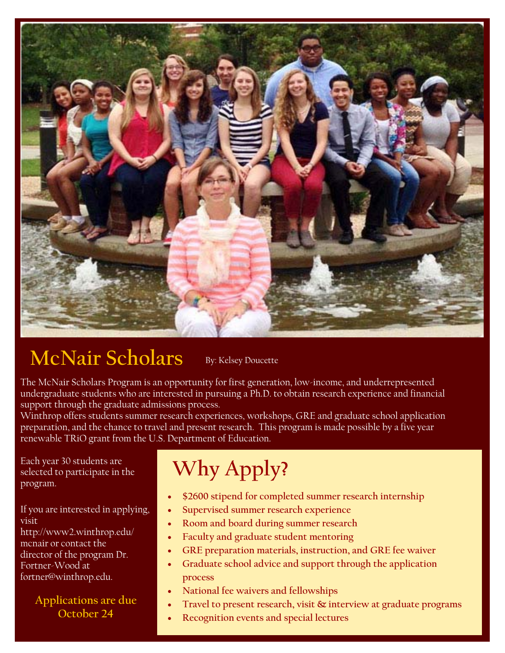

#### **McNair Scholars**  By: Kelsey Doucette

The McNair Scholars Program is an opportunity for first generation, low-income, and underrepresented undergraduate students who are interested in pursuing a Ph.D. to obtain research experience and financial support through the graduate admissions process.

Winthrop offers students summer research experiences, workshops, GRE and graduate school application preparation, and the chance to travel and present research. This program is made possible by a five year renewable TRiO grant from the U.S. Department of Education.

Each year 30 students are selected to participate in the program.

If you are interested in applying, visit

http://www2.winthrop.edu/ mcnair or contact the director of the program Dr. Fortner-Wood at fortner@winthrop.edu.

#### **Applications are due October 24**

## **Why Apply?**

- **\$2600 stipend for completed summer research internship**
- **Supervised summer research experience**
- **Room and board during summer research**
- **Faculty and graduate student mentoring**
- **GRE preparation materials, instruction, and GRE fee waiver**
- **Graduate school advice and support through the application process**
- **National fee waivers and fellowships**
- **Travel to present research, visit & interview at graduate programs**
- **Recognition events and special lectures**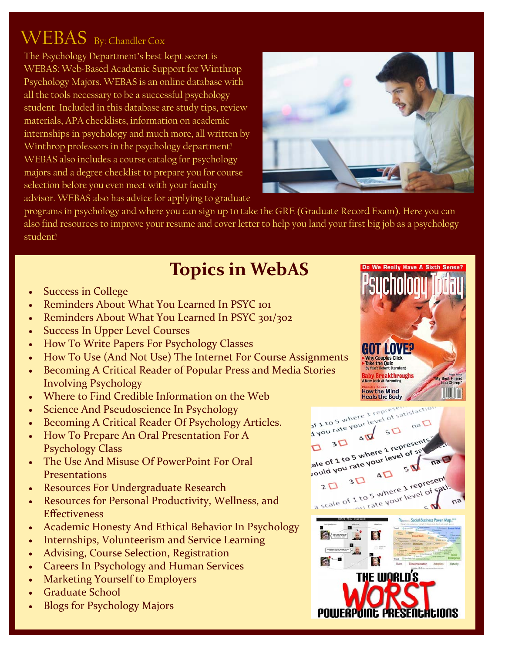## WEBAS By: Chandler Cox

The Psychology Department's best kept secret is WEBAS: Web-Based Academic Support for Winthrop Psychology Majors. WEBAS is an online database with all the tools necessary to be a successful psychology student. Included in this database are study tips, review materials, APA checklists, information on academic internships in psychology and much more, all written by Winthrop professors in the psychology department! WEBAS also includes a course catalog for psychology majors and a degree checklist to prepare you for course selection before you even meet with your faculty advisor. WEBAS also has advice for applying to graduate



programs in psychology and where you can sign up to take the GRE (Graduate Record Exam). Here you can also find resources to improve your resume and cover letter to help you land your first big job as a psychology student!

## **Topics in WebAS**

- Success in College
- Reminders About What You Learned In PSYC 101
- Reminders About What You Learned In PSYC 301/302
- Success In Upper Level Courses
- How To Write Papers For Psychology Classes
- How To Use (And Not Use) The Internet For Course Assignments
- Becoming A Critical Reader of Popular Press and Media Stories Involving Psychology
- Where to Find Credible Information on the Web
- Science And Pseudoscience In Psychology
- Becoming A Critical Reader Of Psychology Articles.
- How To Prepare An Oral Presentation For A Psychology Class
- The Use And Misuse Of PowerPoint For Oral **Presentations**
- Resources For Undergraduate Research
- Resources for Personal Productivity, Wellness, and **Effectiveness**
- Academic Honesty And Ethical Behavior In Psychology
- Internships, Volunteerism and Service Learning
- Advising, Course Selection, Registration
- Careers In Psychology and Human Services
- Marketing Yourself to Employers
- Graduate School
- Blogs for Psychology Majors



Do We Really Have A Sixth Sens

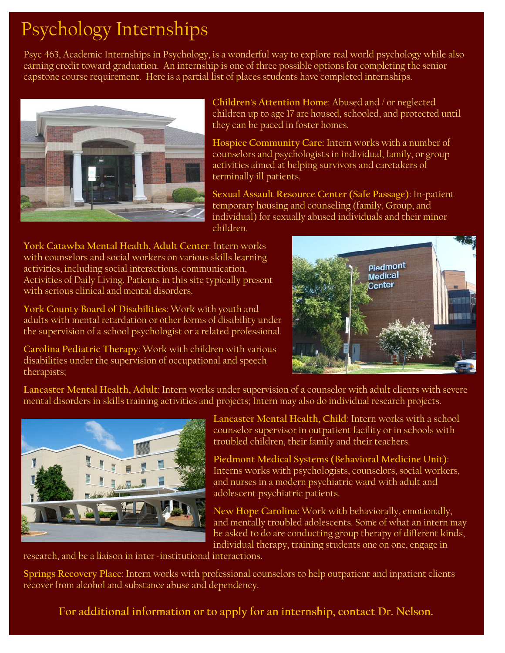## Psychology Internships

Psyc 463, Academic Internships in Psychology, is a wonderful way to explore real world psychology while also earning credit toward graduation. An internship is one of three possible options for completing the senior capstone course requirement. Here is a partial list of places students have completed internships.



**Children's Attention Home**: Abused and / or neglected children up to age 17 are housed, schooled, and protected until they can be paced in foster homes.

**Hospice Community Care:** Intern works with a number of counselors and psychologists in individual, family, or group activities aimed at helping survivors and caretakers of terminally ill patients.

**Sexual Assault Resource Center (Safe Passage)**: In-patient temporary housing and counseling (family, Group, and individual) for sexually abused individuals and their minor children.

**York Catawba Mental Health, Adult Center**: Intern works with counselors and social workers on various skills learning activities, including social interactions, communication, Activities of Daily Living. Patients in this site typically present with serious clinical and mental disorders.

**York County Board of Disabilities**: Work with youth and adults with mental retardation or other forms of disability under the supervision of a school psychologist or a related professional.

**Carolina Pediatric Therapy**: Work with children with various disabilities under the supervision of occupational and speech therapists;



**Lancaster Mental Health, Adult**: Intern works under supervision of a counselor with adult clients with severe mental disorders in skills training activities and projects; Intern may also do individual research projects.



**Lancaster Mental Health, Child**: Intern works with a school counselor supervisor in outpatient facility or in schools with troubled children, their family and their teachers.

**Piedmont Medical Systems (Behavioral Medicine Unit)**: Interns works with psychologists, counselors, social workers, and nurses in a modern psychiatric ward with adult and adolescent psychiatric patients.

**New Hope Carolina**: Work with behaviorally, emotionally, and mentally troubled adolescents. Some of what an intern may be asked to do are conducting group therapy of different kinds, individual therapy, training students one on one, engage in

research, and be a liaison in inter -institutional interactions.

**Springs Recovery Place**: Intern works with professional counselors to help outpatient and inpatient clients recover from alcohol and substance abuse and dependency.

**For additional information or to apply for an internship, contact Dr. Nelson.**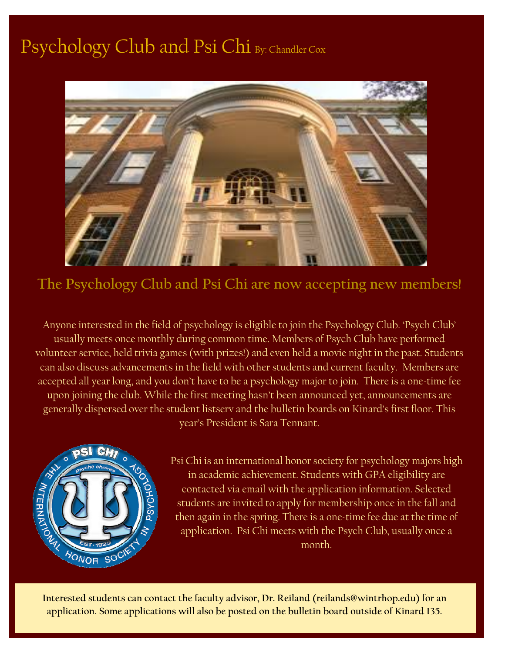## Psychology Club and Psi Chi By: Chandler Cox



**The Psychology Club and Psi Chi are now accepting new members!** 

Anyone interested in the field of psychology is eligible to join the Psychology Club. 'Psych Club' usually meets once monthly during common time. Members of Psych Club have performed volunteer service, held trivia games (with prizes!) and even held a movie night in the past. Students can also discuss advancements in the field with other students and current faculty. Members are accepted all year long, and you don't have to be a psychology major to join. There is a one-time fee upon joining the club. While the first meeting hasn't been announced yet, announcements are generally dispersed over the student listserv and the bulletin boards on Kinard's first floor. This year's President is Sara Tennant.



Psi Chi is an international honor society for psychology majors high in academic achievement. Students with GPA eligibility are contacted via email with the application information. Selected students are invited to apply for membership once in the fall and then again in the spring. There is a one-time fee due at the time of application. Psi Chi meets with the Psych Club, usually once a month.

**Interested students can contact the faculty advisor, Dr. Reiland (reilands@wintrhop.edu) for an application. Some applications will also be posted on the bulletin board outside of Kinard 135.**